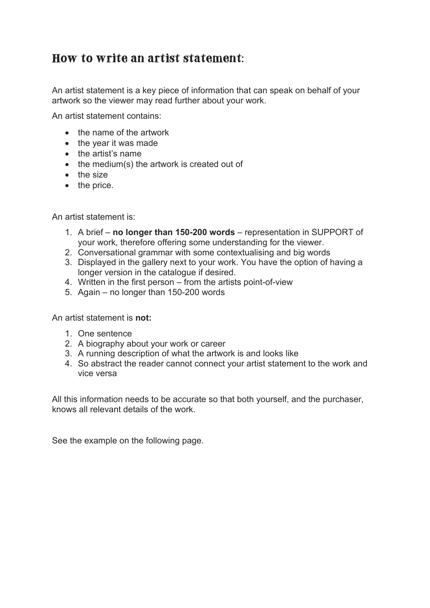## How to write an artist statement:

An artist statement is a key piece of information that can speak on behalf of your artwork so the viewer may read further about your work.

An artist statement contains:

- the name of the artwork
- the year it was made
- the artist's name
- the medium(s) the artwork is created out of
- the size
- the price.

An artist statement is:

- 1. A brief **no longer than 150-200 words** representation in SUPPORT of your work, therefore offering some understanding for the viewer.
- 2. Conversational grammar with some contextualising and big words
- 3. Displayed in the gallery next to your work. You have the option of having a longer version in the catalogue if desired.
- 4. Written in the first person from the artists point-of-view
- 5. Again no longer than 150-200 words

An artist statement is **not:**

- 1. One sentence
- 2. A biography about your work or career
- 3. A running description of what the artwork is and looks like
- 4. So abstract the reader cannot connect your artist statement to the work and vice versa

All this information needs to be accurate so that both yourself, and the purchaser, knows all relevant details of the work.

See the example on the following page.